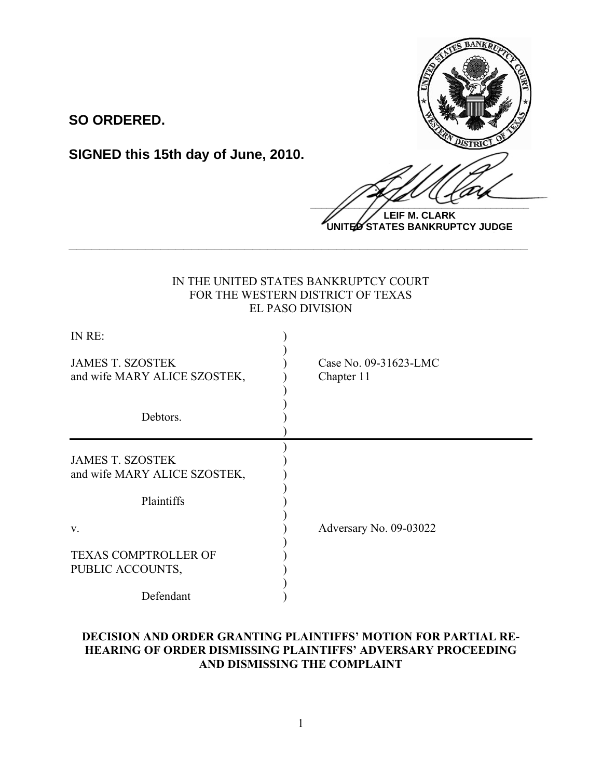

**LEIF M. CLARK UNITED STATES BANKRUPTCY JUDGE**

# IN THE UNITED STATES BANKRUPTCY COURT FOR THE WESTERN DISTRICT OF TEXAS EL PASO DIVISION

**\_\_\_\_\_\_\_\_\_\_\_\_\_\_\_\_\_\_\_\_\_\_\_\_\_\_\_\_\_\_\_\_\_\_\_\_\_\_\_\_\_\_\_\_\_\_\_\_\_\_\_\_\_\_\_\_\_\_\_\_**

**SO ORDERED.**

**SIGNED this 15th day of June, 2010.**

| IN RE:                                                  |                                     |
|---------------------------------------------------------|-------------------------------------|
| <b>JAMES T. SZOSTEK</b><br>and wife MARY ALICE SZOSTEK, | Case No. 09-31623-LMC<br>Chapter 11 |
| Debtors.                                                |                                     |
| <b>JAMES T. SZOSTEK</b><br>and wife MARY ALICE SZOSTEK, |                                     |
| Plaintiffs                                              |                                     |
| V.                                                      | Adversary No. 09-03022              |
| <b>TEXAS COMPTROLLER OF</b><br>PUBLIC ACCOUNTS,         |                                     |
| Defendant                                               |                                     |

## **DECISION AND ORDER GRANTING PLAINTIFFS' MOTION FOR PARTIAL RE-HEARING OF ORDER DISMISSING PLAINTIFFS' ADVERSARY PROCEEDING AND DISMISSING THE COMPLAINT**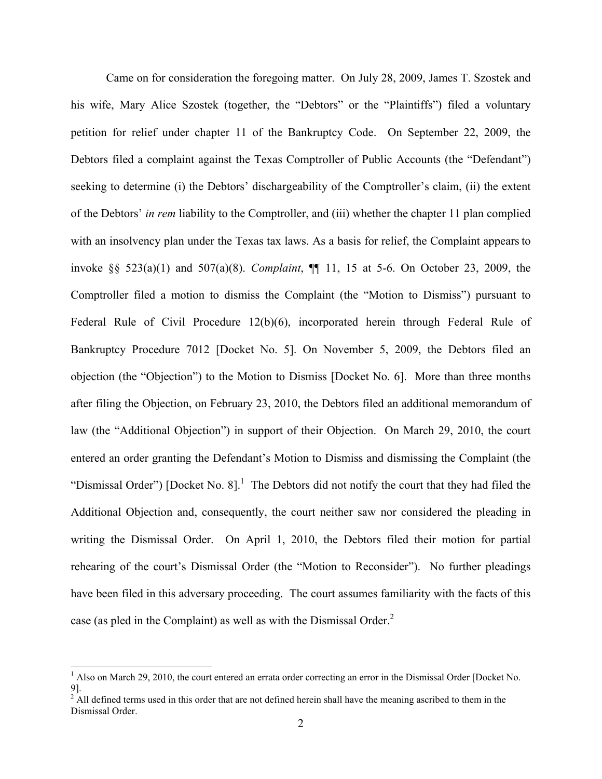Came on for consideration the foregoing matter. On July 28, 2009, James T. Szostek and his wife, Mary Alice Szostek (together, the "Debtors" or the "Plaintiffs") filed a voluntary petition for relief under chapter 11 of the Bankruptcy Code. On September 22, 2009, the Debtors filed a complaint against the Texas Comptroller of Public Accounts (the "Defendant") seeking to determine (i) the Debtors' dischargeability of the Comptroller's claim, (ii) the extent of the Debtors' *in rem* liability to the Comptroller, and (iii) whether the chapter 11 plan complied with an insolvency plan under the Texas tax laws. As a basis for relief, the Complaint appears to invoke §§ 523(a)(1) and 507(a)(8). *Complaint*, ¶¶ 11, 15 at 5-6. On October 23, 2009, the Comptroller filed a motion to dismiss the Complaint (the "Motion to Dismiss") pursuant to Federal Rule of Civil Procedure 12(b)(6), incorporated herein through Federal Rule of Bankruptcy Procedure 7012 [Docket No. 5]. On November 5, 2009, the Debtors filed an objection (the "Objection") to the Motion to Dismiss [Docket No. 6]. More than three months after filing the Objection, on February 23, 2010, the Debtors filed an additional memorandum of law (the "Additional Objection") in support of their Objection. On March 29, 2010, the court entered an order granting the Defendant's Motion to Dismiss and dismissing the Complaint (the "Dismissal Order") [Docket No. 8].<sup>1</sup> The Debtors did not notify the court that they had filed the Additional Objection and, consequently, the court neither saw nor considered the pleading in writing the Dismissal Order. On April 1, 2010, the Debtors filed their motion for partial rehearing of the court's Dismissal Order (the "Motion to Reconsider"). No further pleadings have been filed in this adversary proceeding. The court assumes familiarity with the facts of this case (as pled in the Complaint) as well as with the Dismissal Order. $<sup>2</sup>$ </sup>

 $\frac{1}{1}$ <sup>1</sup> Also on March 29, 2010, the court entered an errata order correcting an error in the Dismissal Order [Docket No.

<sup>9].&</sup>lt;br><sup>2</sup> All defined terms used in this order that are not defined herein shall have the meaning ascribed to them in the Dismissal Order.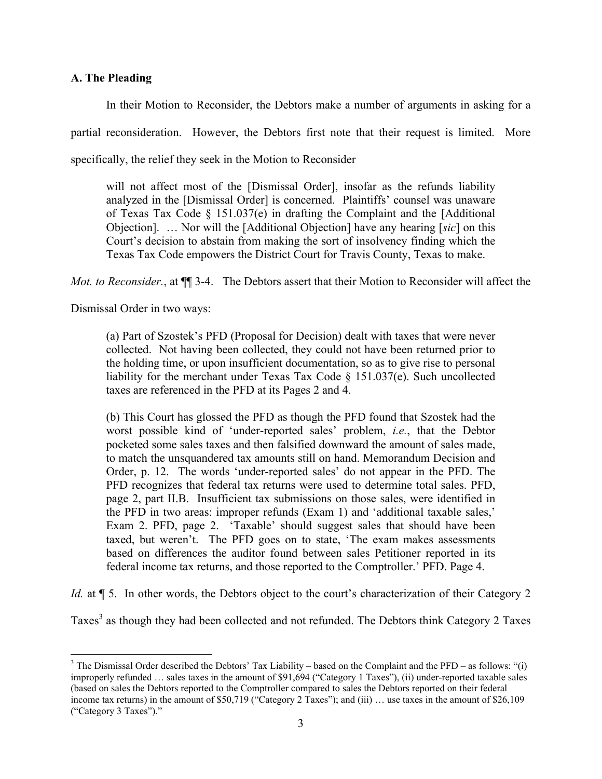## **A. The Pleading**

In their Motion to Reconsider, the Debtors make a number of arguments in asking for a partial reconsideration. However, the Debtors first note that their request is limited. More specifically, the relief they seek in the Motion to Reconsider

will not affect most of the [Dismissal Order], insofar as the refunds liability analyzed in the [Dismissal Order] is concerned. Plaintiffs' counsel was unaware of Texas Tax Code  $\S$  151.037(e) in drafting the Complaint and the [Additional Objection]. … Nor will the [Additional Objection] have any hearing [*sic*] on this Court's decision to abstain from making the sort of insolvency finding which the Texas Tax Code empowers the District Court for Travis County, Texas to make.

*Mot. to Reconsider.*, at ¶¶ 3-4. The Debtors assert that their Motion to Reconsider will affect the

Dismissal Order in two ways:

(a) Part of Szostek's PFD (Proposal for Decision) dealt with taxes that were never collected. Not having been collected, they could not have been returned prior to the holding time, or upon insufficient documentation, so as to give rise to personal liability for the merchant under Texas Tax Code § 151.037(e). Such uncollected taxes are referenced in the PFD at its Pages 2 and 4.

(b) This Court has glossed the PFD as though the PFD found that Szostek had the worst possible kind of 'under-reported sales' problem, *i.e.*, that the Debtor pocketed some sales taxes and then falsified downward the amount of sales made, to match the unsquandered tax amounts still on hand. Memorandum Decision and Order, p. 12. The words 'under-reported sales' do not appear in the PFD. The PFD recognizes that federal tax returns were used to determine total sales. PFD, page 2, part II.B. Insufficient tax submissions on those sales, were identified in the PFD in two areas: improper refunds (Exam 1) and 'additional taxable sales,' Exam 2. PFD, page 2. 'Taxable' should suggest sales that should have been taxed, but weren't. The PFD goes on to state, 'The exam makes assessments based on differences the auditor found between sales Petitioner reported in its federal income tax returns, and those reported to the Comptroller.' PFD. Page 4.

*Id.* at  $\P$  5. In other words, the Debtors object to the court's characterization of their Category 2

Taxes<sup>3</sup> as though they had been collected and not refunded. The Debtors think Category 2 Taxes

3 <sup>3</sup> The Dismissal Order described the Debtors' Tax Liability – based on the Complaint and the PFD – as follows: "(i) improperly refunded … sales taxes in the amount of \$91,694 ("Category 1 Taxes"), (ii) under-reported taxable sales (based on sales the Debtors reported to the Comptroller compared to sales the Debtors reported on their federal income tax returns) in the amount of \$50,719 ("Category 2 Taxes"); and (iii) … use taxes in the amount of \$26,109 ("Category 3 Taxes")."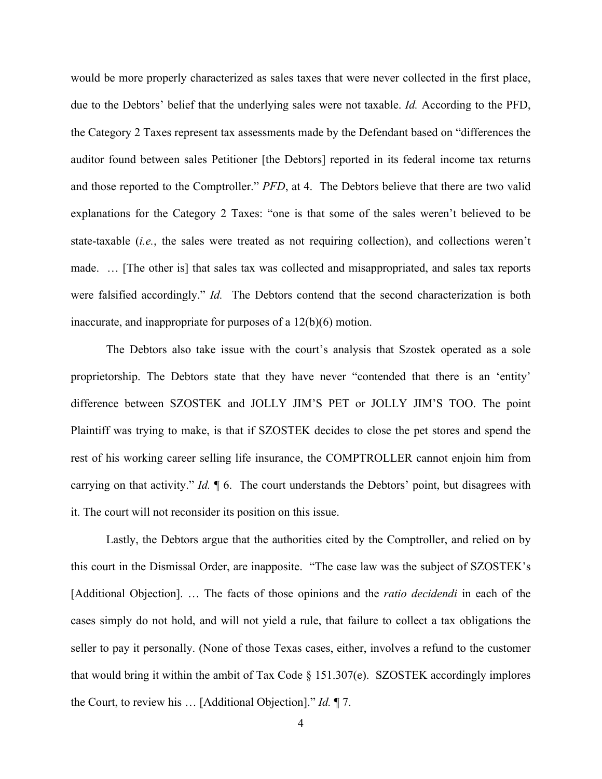would be more properly characterized as sales taxes that were never collected in the first place, due to the Debtors' belief that the underlying sales were not taxable. *Id.* According to the PFD, the Category 2 Taxes represent tax assessments made by the Defendant based on "differences the auditor found between sales Petitioner [the Debtors] reported in its federal income tax returns and those reported to the Comptroller." *PFD*, at 4. The Debtors believe that there are two valid explanations for the Category 2 Taxes: "one is that some of the sales weren't believed to be state-taxable (*i.e.*, the sales were treated as not requiring collection), and collections weren't made. … [The other is] that sales tax was collected and misappropriated, and sales tax reports were falsified accordingly." *Id.* The Debtors contend that the second characterization is both inaccurate, and inappropriate for purposes of a 12(b)(6) motion.

The Debtors also take issue with the court's analysis that Szostek operated as a sole proprietorship. The Debtors state that they have never "contended that there is an 'entity' difference between SZOSTEK and JOLLY JIM'S PET or JOLLY JIM'S TOO. The point Plaintiff was trying to make, is that if SZOSTEK decides to close the pet stores and spend the rest of his working career selling life insurance, the COMPTROLLER cannot enjoin him from carrying on that activity." *Id.* ¶ 6. The court understands the Debtors' point, but disagrees with it. The court will not reconsider its position on this issue.

Lastly, the Debtors argue that the authorities cited by the Comptroller, and relied on by this court in the Dismissal Order, are inapposite. "The case law was the subject of SZOSTEK's [Additional Objection]. … The facts of those opinions and the *ratio decidendi* in each of the cases simply do not hold, and will not yield a rule, that failure to collect a tax obligations the seller to pay it personally. (None of those Texas cases, either, involves a refund to the customer that would bring it within the ambit of Tax Code § 151.307(e). SZOSTEK accordingly implores the Court, to review his … [Additional Objection]." *Id.* ¶ 7.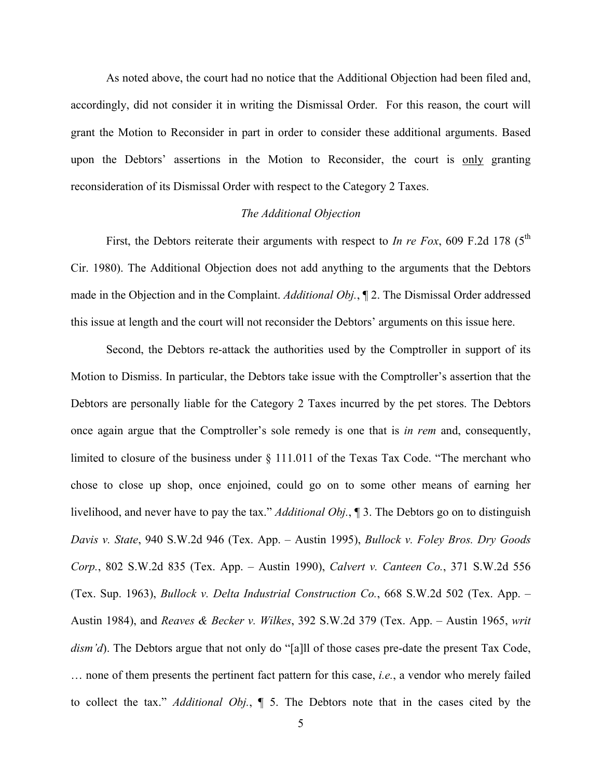As noted above, the court had no notice that the Additional Objection had been filed and, accordingly, did not consider it in writing the Dismissal Order. For this reason, the court will grant the Motion to Reconsider in part in order to consider these additional arguments. Based upon the Debtors' assertions in the Motion to Reconsider, the court is only granting reconsideration of its Dismissal Order with respect to the Category 2 Taxes.

### *The Additional Objection*

First, the Debtors reiterate their arguments with respect to *In re Fox*, 609 F.2d 178 ( $5<sup>th</sup>$ Cir. 1980). The Additional Objection does not add anything to the arguments that the Debtors made in the Objection and in the Complaint. *Additional Obj.*, ¶ 2. The Dismissal Order addressed this issue at length and the court will not reconsider the Debtors' arguments on this issue here.

Second, the Debtors re-attack the authorities used by the Comptroller in support of its Motion to Dismiss. In particular, the Debtors take issue with the Comptroller's assertion that the Debtors are personally liable for the Category 2 Taxes incurred by the pet stores. The Debtors once again argue that the Comptroller's sole remedy is one that is *in rem* and, consequently, limited to closure of the business under § 111.011 of the Texas Tax Code. "The merchant who chose to close up shop, once enjoined, could go on to some other means of earning her livelihood, and never have to pay the tax." *Additional Obj.*, ¶ 3. The Debtors go on to distinguish *Davis v. State*, 940 S.W.2d 946 (Tex. App. – Austin 1995), *Bullock v. Foley Bros. Dry Goods Corp.*, 802 S.W.2d 835 (Tex. App. – Austin 1990), *Calvert v. Canteen Co.*, 371 S.W.2d 556 (Tex. Sup. 1963), *Bullock v. Delta Industrial Construction Co.*, 668 S.W.2d 502 (Tex. App. – Austin 1984), and *Reaves & Becker v. Wilkes*, 392 S.W.2d 379 (Tex. App. – Austin 1965, *writ dism'd*). The Debtors argue that not only do "[a]ll of those cases pre-date the present Tax Code, … none of them presents the pertinent fact pattern for this case, *i.e.*, a vendor who merely failed to collect the tax." *Additional Obj.*, ¶ 5. The Debtors note that in the cases cited by the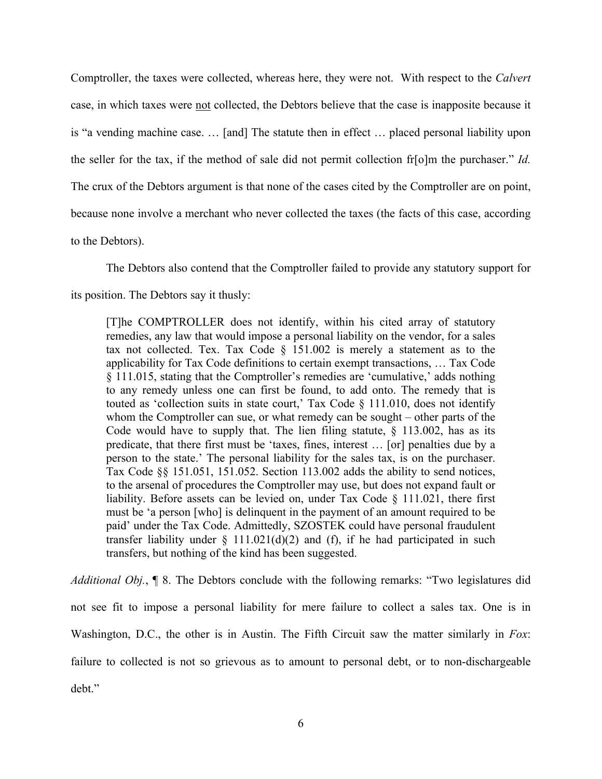Comptroller, the taxes were collected, whereas here, they were not. With respect to the *Calvert* case, in which taxes were not collected, the Debtors believe that the case is inapposite because it is "a vending machine case. … [and] The statute then in effect … placed personal liability upon the seller for the tax, if the method of sale did not permit collection fr[o]m the purchaser." *Id.*  The crux of the Debtors argument is that none of the cases cited by the Comptroller are on point, because none involve a merchant who never collected the taxes (the facts of this case, according to the Debtors).

The Debtors also contend that the Comptroller failed to provide any statutory support for its position. The Debtors say it thusly:

[T]he COMPTROLLER does not identify, within his cited array of statutory remedies, any law that would impose a personal liability on the vendor, for a sales tax not collected. Tex. Tax Code  $\S$  151.002 is merely a statement as to the applicability for Tax Code definitions to certain exempt transactions, … Tax Code § 111.015, stating that the Comptroller's remedies are 'cumulative,' adds nothing to any remedy unless one can first be found, to add onto. The remedy that is touted as 'collection suits in state court,' Tax Code § 111.010, does not identify whom the Comptroller can sue, or what remedy can be sought – other parts of the Code would have to supply that. The lien filing statute,  $\S$  113.002, has as its predicate, that there first must be 'taxes, fines, interest … [or] penalties due by a person to the state.' The personal liability for the sales tax, is on the purchaser. Tax Code §§ 151.051, 151.052. Section 113.002 adds the ability to send notices, to the arsenal of procedures the Comptroller may use, but does not expand fault or liability. Before assets can be levied on, under Tax Code § 111.021, there first must be 'a person [who] is delinquent in the payment of an amount required to be paid' under the Tax Code. Admittedly, SZOSTEK could have personal fraudulent transfer liability under  $\S$  111.021(d)(2) and (f), if he had participated in such transfers, but nothing of the kind has been suggested.

*Additional Obj.*, ¶ 8. The Debtors conclude with the following remarks: "Two legislatures did not see fit to impose a personal liability for mere failure to collect a sales tax. One is in Washington, D.C., the other is in Austin. The Fifth Circuit saw the matter similarly in *Fox*: failure to collected is not so grievous as to amount to personal debt, or to non-dischargeable debt."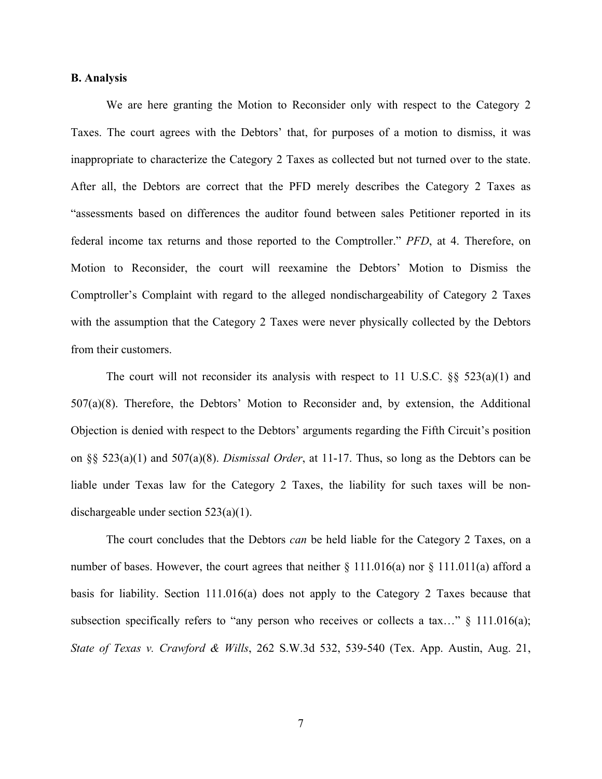#### **B. Analysis**

We are here granting the Motion to Reconsider only with respect to the Category 2 Taxes. The court agrees with the Debtors' that, for purposes of a motion to dismiss, it was inappropriate to characterize the Category 2 Taxes as collected but not turned over to the state. After all, the Debtors are correct that the PFD merely describes the Category 2 Taxes as "assessments based on differences the auditor found between sales Petitioner reported in its federal income tax returns and those reported to the Comptroller." *PFD*, at 4. Therefore, on Motion to Reconsider, the court will reexamine the Debtors' Motion to Dismiss the Comptroller's Complaint with regard to the alleged nondischargeability of Category 2 Taxes with the assumption that the Category 2 Taxes were never physically collected by the Debtors from their customers.

The court will not reconsider its analysis with respect to 11 U.S.C.  $\S$  523(a)(1) and 507(a)(8). Therefore, the Debtors' Motion to Reconsider and, by extension, the Additional Objection is denied with respect to the Debtors' arguments regarding the Fifth Circuit's position on §§ 523(a)(1) and 507(a)(8). *Dismissal Order*, at 11-17. Thus, so long as the Debtors can be liable under Texas law for the Category 2 Taxes, the liability for such taxes will be nondischargeable under section 523(a)(1).

The court concludes that the Debtors *can* be held liable for the Category 2 Taxes, on a number of bases. However, the court agrees that neither § 111.016(a) nor § 111.011(a) afford a basis for liability. Section 111.016(a) does not apply to the Category 2 Taxes because that subsection specifically refers to "any person who receives or collects a tax..." § 111.016(a); *State of Texas v. Crawford & Wills*, 262 S.W.3d 532, 539-540 (Tex. App. Austin, Aug. 21,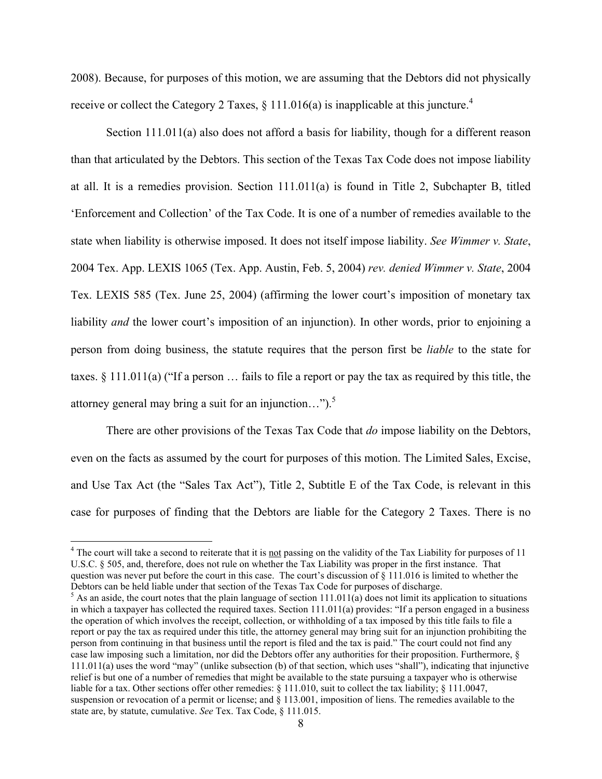2008). Because, for purposes of this motion, we are assuming that the Debtors did not physically receive or collect the Category 2 Taxes,  $\S$  111.016(a) is inapplicable at this juncture.<sup>4</sup>

Section 111.011(a) also does not afford a basis for liability, though for a different reason than that articulated by the Debtors. This section of the Texas Tax Code does not impose liability at all. It is a remedies provision. Section 111.011(a) is found in Title 2, Subchapter B, titled 'Enforcement and Collection' of the Tax Code. It is one of a number of remedies available to the state when liability is otherwise imposed. It does not itself impose liability. *See Wimmer v. State*, 2004 Tex. App. LEXIS 1065 (Tex. App. Austin, Feb. 5, 2004) *rev. denied Wimmer v. State*, 2004 Tex. LEXIS 585 (Tex. June 25, 2004) (affirming the lower court's imposition of monetary tax liability *and* the lower court's imposition of an injunction). In other words, prior to enjoining a person from doing business, the statute requires that the person first be *liable* to the state for taxes. § 111.011(a) ("If a person … fails to file a report or pay the tax as required by this title, the attorney general may bring a suit for an injunction..." $)$ .<sup>5</sup>

There are other provisions of the Texas Tax Code that *do* impose liability on the Debtors, even on the facts as assumed by the court for purposes of this motion. The Limited Sales, Excise, and Use Tax Act (the "Sales Tax Act"), Title 2, Subtitle E of the Tax Code, is relevant in this case for purposes of finding that the Debtors are liable for the Category 2 Taxes. There is no

 $4$  The court will take a second to reiterate that it is not passing on the validity of the Tax Liability for purposes of 11 U.S.C. § 505, and, therefore, does not rule on whether the Tax Liability was proper in the first instance. That question was never put before the court in this case. The court's discussion of § 111.016 is limited to whether the Debtors can be held liable under that section of the Texas Tax Code for purposes of discharge.

 $5$  As an aside, the court notes that the plain language of section  $111.011(a)$  does not limit its application to situations in which a taxpayer has collected the required taxes. Section 111.011(a) provides: "If a person engaged in a business the operation of which involves the receipt, collection, or withholding of a tax imposed by this title fails to file a report or pay the tax as required under this title, the attorney general may bring suit for an injunction prohibiting the person from continuing in that business until the report is filed and the tax is paid." The court could not find any case law imposing such a limitation, nor did the Debtors offer any authorities for their proposition. Furthermore, § 111.011(a) uses the word "may" (unlike subsection (b) of that section, which uses "shall"), indicating that injunctive relief is but one of a number of remedies that might be available to the state pursuing a taxpayer who is otherwise liable for a tax. Other sections offer other remedies:  $\S 111.010$ , suit to collect the tax liability;  $\S 111.0047$ , suspension or revocation of a permit or license; and  $\S$  113.001, imposition of liens. The remedies available to the state are, by statute, cumulative. *See* Tex. Tax Code, § 111.015.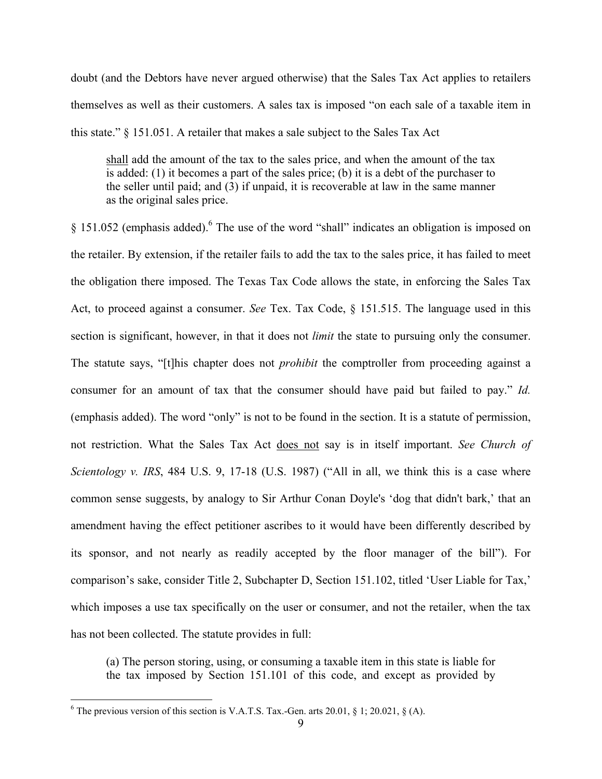doubt (and the Debtors have never argued otherwise) that the Sales Tax Act applies to retailers themselves as well as their customers. A sales tax is imposed "on each sale of a taxable item in this state." § 151.051. A retailer that makes a sale subject to the Sales Tax Act

shall add the amount of the tax to the sales price, and when the amount of the tax is added: (1) it becomes a part of the sales price; (b) it is a debt of the purchaser to the seller until paid; and (3) if unpaid, it is recoverable at law in the same manner as the original sales price.

§ 151.052 (emphasis added).6 The use of the word "shall" indicates an obligation is imposed on the retailer. By extension, if the retailer fails to add the tax to the sales price, it has failed to meet the obligation there imposed. The Texas Tax Code allows the state, in enforcing the Sales Tax Act, to proceed against a consumer. *See* Tex. Tax Code, § 151.515. The language used in this section is significant, however, in that it does not *limit* the state to pursuing only the consumer. The statute says, "[t]his chapter does not *prohibit* the comptroller from proceeding against a consumer for an amount of tax that the consumer should have paid but failed to pay." *Id.* (emphasis added). The word "only" is not to be found in the section. It is a statute of permission, not restriction. What the Sales Tax Act does not say is in itself important. *See Church of Scientology v. IRS*, 484 U.S. 9, 17-18 (U.S. 1987) ("All in all, we think this is a case where common sense suggests, by analogy to Sir Arthur Conan Doyle's 'dog that didn't bark,' that an amendment having the effect petitioner ascribes to it would have been differently described by its sponsor, and not nearly as readily accepted by the floor manager of the bill"). For comparison's sake, consider Title 2, Subchapter D, Section 151.102, titled 'User Liable for Tax,' which imposes a use tax specifically on the user or consumer, and not the retailer, when the tax has not been collected. The statute provides in full:

(a) The person storing, using, or consuming a taxable item in this state is liable for the tax imposed by Section 151.101 of this code, and except as provided by

 $\frac{1}{6}$  $6$  The previous version of this section is V.A.T.S. Tax.-Gen. arts 20.01, § 1; 20.021, § (A).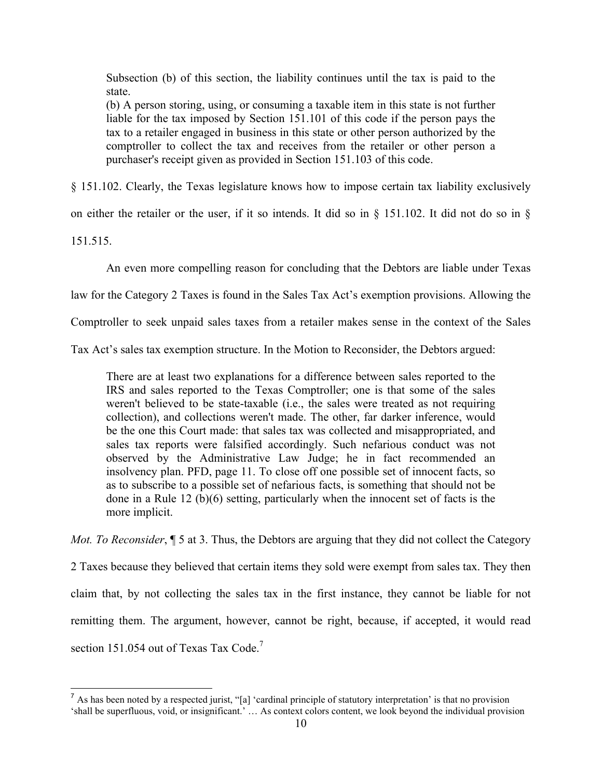Subsection (b) of this section, the liability continues until the tax is paid to the state.

(b) A person storing, using, or consuming a taxable item in this state is not further liable for the tax imposed by Section 151.101 of this code if the person pays the tax to a retailer engaged in business in this state or other person authorized by the comptroller to collect the tax and receives from the retailer or other person a purchaser's receipt given as provided in Section 151.103 of this code.

§ 151.102. Clearly, the Texas legislature knows how to impose certain tax liability exclusively

on either the retailer or the user, if it so intends. It did so in § 151.102. It did not do so in §

151.515.

An even more compelling reason for concluding that the Debtors are liable under Texas

law for the Category 2 Taxes is found in the Sales Tax Act's exemption provisions. Allowing the

Comptroller to seek unpaid sales taxes from a retailer makes sense in the context of the Sales

Tax Act's sales tax exemption structure. In the Motion to Reconsider, the Debtors argued:

There are at least two explanations for a difference between sales reported to the IRS and sales reported to the Texas Comptroller; one is that some of the sales weren't believed to be state-taxable (i.e., the sales were treated as not requiring collection), and collections weren't made. The other, far darker inference, would be the one this Court made: that sales tax was collected and misappropriated, and sales tax reports were falsified accordingly. Such nefarious conduct was not observed by the Administrative Law Judge; he in fact recommended an insolvency plan. PFD, page 11. To close off one possible set of innocent facts, so as to subscribe to a possible set of nefarious facts, is something that should not be done in a Rule 12 (b)(6) setting, particularly when the innocent set of facts is the more implicit.

*Mot. To Reconsider*,  $\sqrt{ }$  5 at 3. Thus, the Debtors are arguing that they did not collect the Category

2 Taxes because they believed that certain items they sold were exempt from sales tax. They then claim that, by not collecting the sales tax in the first instance, they cannot be liable for not remitting them. The argument, however, cannot be right, because, if accepted, it would read section 151.054 out of Texas Tax Code.<sup>7</sup>

<sup>&</sup>lt;sup>7</sup> As has been noted by a respected jurist, "[a] 'cardinal principle of statutory interpretation' is that no provision 'shall be superfluous, void, or insignificant.' … As context colors content, we look beyond the individual provision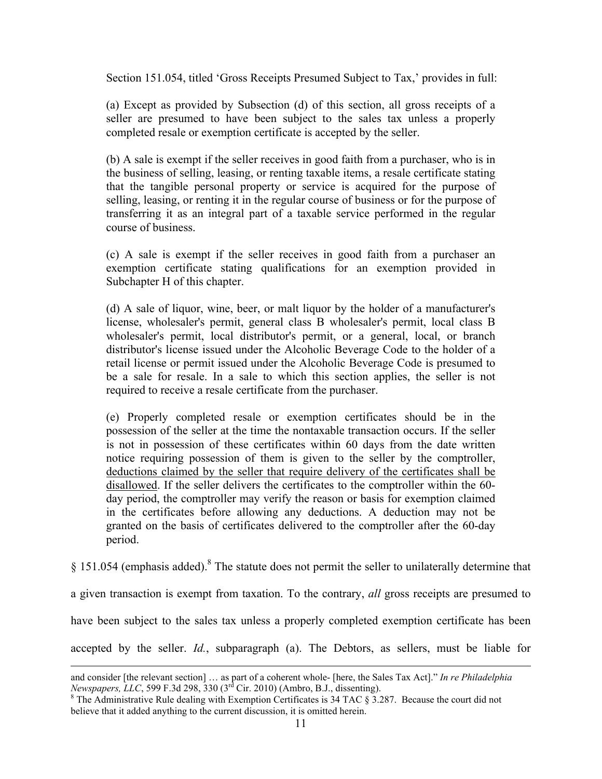Section 151.054, titled 'Gross Receipts Presumed Subject to Tax,' provides in full:

(a) Except as provided by Subsection (d) of this section, all gross receipts of a seller are presumed to have been subject to the sales tax unless a properly completed resale or exemption certificate is accepted by the seller.

(b) A sale is exempt if the seller receives in good faith from a purchaser, who is in the business of selling, leasing, or renting taxable items, a resale certificate stating that the tangible personal property or service is acquired for the purpose of selling, leasing, or renting it in the regular course of business or for the purpose of transferring it as an integral part of a taxable service performed in the regular course of business.

(c) A sale is exempt if the seller receives in good faith from a purchaser an exemption certificate stating qualifications for an exemption provided in Subchapter H of this chapter.

(d) A sale of liquor, wine, beer, or malt liquor by the holder of a manufacturer's license, wholesaler's permit, general class B wholesaler's permit, local class B wholesaler's permit, local distributor's permit, or a general, local, or branch distributor's license issued under the Alcoholic Beverage Code to the holder of a retail license or permit issued under the Alcoholic Beverage Code is presumed to be a sale for resale. In a sale to which this section applies, the seller is not required to receive a resale certificate from the purchaser.

(e) Properly completed resale or exemption certificates should be in the possession of the seller at the time the nontaxable transaction occurs. If the seller is not in possession of these certificates within 60 days from the date written notice requiring possession of them is given to the seller by the comptroller, deductions claimed by the seller that require delivery of the certificates shall be disallowed. If the seller delivers the certificates to the comptroller within the 60 day period, the comptroller may verify the reason or basis for exemption claimed in the certificates before allowing any deductions. A deduction may not be granted on the basis of certificates delivered to the comptroller after the 60-day period.

 $§$  151.054 (emphasis added).<sup>8</sup> The statute does not permit the seller to unilaterally determine that

a given transaction is exempt from taxation. To the contrary, *all* gross receipts are presumed to

have been subject to the sales tax unless a properly completed exemption certificate has been

accepted by the seller. *Id.*, subparagraph (a). The Debtors, as sellers, must be liable for

 $\overline{a}$ 

and consider [the relevant section] … as part of a coherent whole- [here, the Sales Tax Act]." *In re Philadelphia Newspapers, LLC*, 599 F.3d 298, 330 (3<sup>rd</sup> Cir. 2010) (Ambro, B.J., dissenting).

 $8$  The Administrative Rule dealing with Exemption Certificates is 34 TAC  $\S$  3.287. Because the court did not believe that it added anything to the current discussion, it is omitted herein.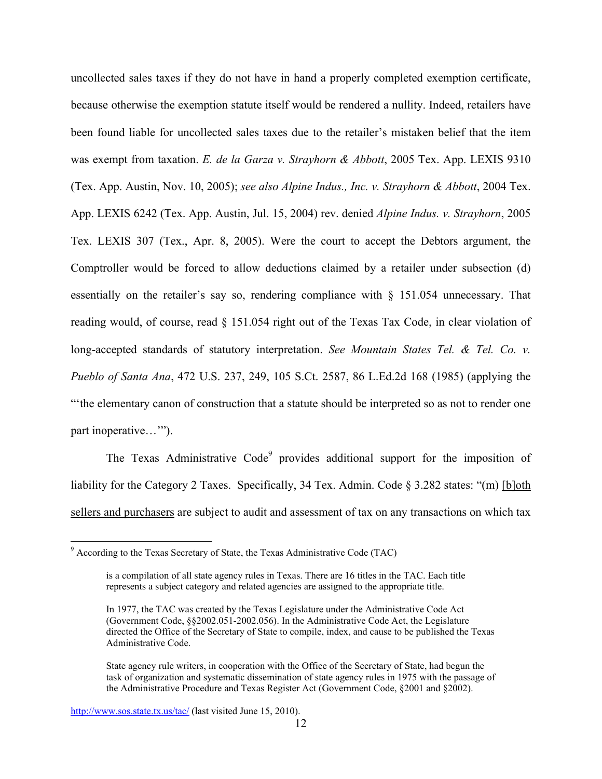uncollected sales taxes if they do not have in hand a properly completed exemption certificate, because otherwise the exemption statute itself would be rendered a nullity. Indeed, retailers have been found liable for uncollected sales taxes due to the retailer's mistaken belief that the item was exempt from taxation. *E. de la Garza v. Strayhorn & Abbott*, 2005 Tex. App. LEXIS 9310 (Tex. App. Austin, Nov. 10, 2005); *see also Alpine Indus., Inc. v. Strayhorn & Abbott*, 2004 Tex. App. LEXIS 6242 (Tex. App. Austin, Jul. 15, 2004) rev. denied *Alpine Indus. v. Strayhorn*, 2005 Tex. LEXIS 307 (Tex., Apr. 8, 2005). Were the court to accept the Debtors argument, the Comptroller would be forced to allow deductions claimed by a retailer under subsection (d) essentially on the retailer's say so, rendering compliance with § 151.054 unnecessary. That reading would, of course, read § 151.054 right out of the Texas Tax Code, in clear violation of long-accepted standards of statutory interpretation. *See Mountain States Tel. & Tel. Co. v. Pueblo of Santa Ana*, 472 U.S. 237, 249, 105 S.Ct. 2587, 86 L.Ed.2d 168 (1985) (applying the "'the elementary canon of construction that a statute should be interpreted so as not to render one part inoperative…").

The Texas Administrative Code $9$  provides additional support for the imposition of liability for the Category 2 Taxes. Specifically, 34 Tex. Admin. Code § 3.282 states: "(m) [b]oth sellers and purchasers are subject to audit and assessment of tax on any transactions on which tax

<sup>-&</sup>lt;br>9 According to the Texas Secretary of State, the Texas Administrative Code (TAC)

is a compilation of all state agency rules in Texas. There are 16 titles in the TAC. Each title represents a subject category and related agencies are assigned to the appropriate title.

In 1977, the TAC was created by the Texas Legislature under the Administrative Code Act (Government Code, §§2002.051-2002.056). In the Administrative Code Act, the Legislature directed the Office of the Secretary of State to compile, index, and cause to be published the Texas Administrative Code.

State agency rule writers, in cooperation with the Office of the Secretary of State, had begun the task of organization and systematic dissemination of state agency rules in 1975 with the passage of the Administrative Procedure and Texas Register Act (Government Code, §2001 and §2002).

http://www.sos.state.tx.us/tac/ (last visited June 15, 2010).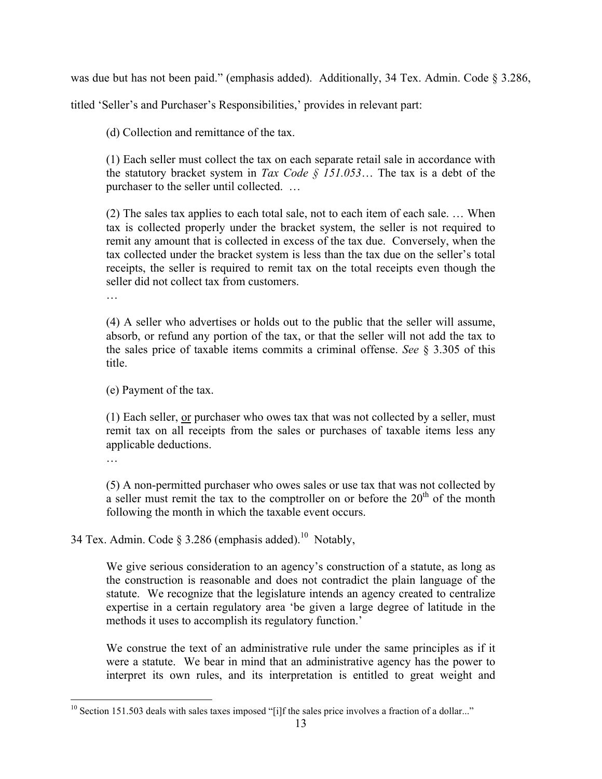was due but has not been paid." (emphasis added). Additionally, 34 Tex. Admin. Code § 3.286,

titled 'Seller's and Purchaser's Responsibilities,' provides in relevant part:

(d) Collection and remittance of the tax.

(1) Each seller must collect the tax on each separate retail sale in accordance with the statutory bracket system in *Tax Code § 151.053*… The tax is a debt of the purchaser to the seller until collected. …

(2) The sales tax applies to each total sale, not to each item of each sale. … When tax is collected properly under the bracket system, the seller is not required to remit any amount that is collected in excess of the tax due. Conversely, when the tax collected under the bracket system is less than the tax due on the seller's total receipts, the seller is required to remit tax on the total receipts even though the seller did not collect tax from customers.

(4) A seller who advertises or holds out to the public that the seller will assume, absorb, or refund any portion of the tax, or that the seller will not add the tax to the sales price of taxable items commits a criminal offense. *See* § 3.305 of this title.

(e) Payment of the tax.

(1) Each seller, or purchaser who owes tax that was not collected by a seller, must remit tax on all receipts from the sales or purchases of taxable items less any applicable deductions.

…

(5) A non-permitted purchaser who owes sales or use tax that was not collected by a seller must remit the tax to the comptroller on or before the  $20<sup>th</sup>$  of the month following the month in which the taxable event occurs.

34 Tex. Admin. Code  $\delta$  3.286 (emphasis added).<sup>10</sup> Notably,

We give serious consideration to an agency's construction of a statute, as long as the construction is reasonable and does not contradict the plain language of the statute. We recognize that the legislature intends an agency created to centralize expertise in a certain regulatory area 'be given a large degree of latitude in the methods it uses to accomplish its regulatory function.'

We construe the text of an administrative rule under the same principles as if it were a statute. We bear in mind that an administrative agency has the power to interpret its own rules, and its interpretation is entitled to great weight and

<sup>&</sup>lt;sup>10</sup> Section 151.503 deals with sales taxes imposed "[i]f the sales price involves a fraction of a dollar..."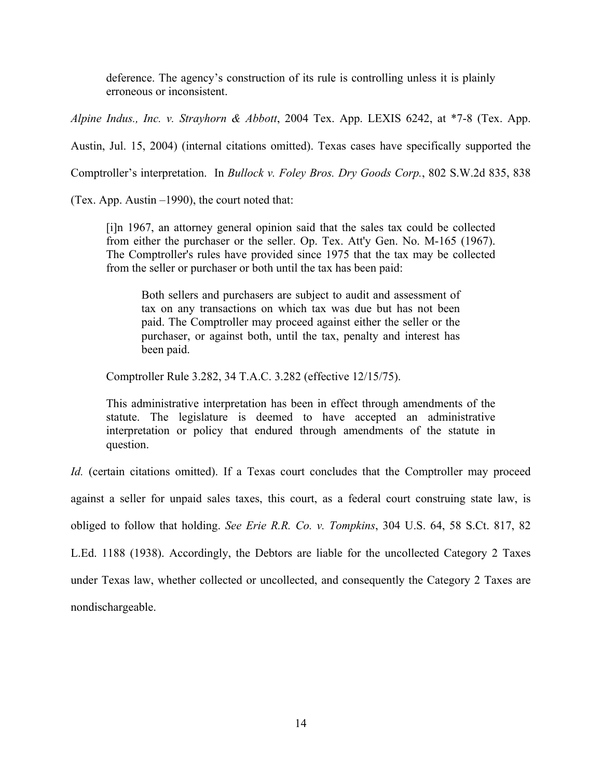deference. The agency's construction of its rule is controlling unless it is plainly erroneous or inconsistent.

*Alpine Indus., Inc. v. Strayhorn & Abbott*, 2004 Tex. App. LEXIS 6242, at \*7-8 (Tex. App.

Austin, Jul. 15, 2004) (internal citations omitted). Texas cases have specifically supported the

Comptroller's interpretation. In *Bullock v. Foley Bros. Dry Goods Corp.*, 802 S.W.2d 835, 838

(Tex. App. Austin –1990), the court noted that:

[i]n 1967, an attorney general opinion said that the sales tax could be collected from either the purchaser or the seller. Op. Tex. Att'y Gen. No. M-165 (1967). The Comptroller's rules have provided since 1975 that the tax may be collected from the seller or purchaser or both until the tax has been paid:

Both sellers and purchasers are subject to audit and assessment of tax on any transactions on which tax was due but has not been paid. The Comptroller may proceed against either the seller or the purchaser, or against both, until the tax, penalty and interest has been paid.

Comptroller Rule 3.282, 34 T.A.C. 3.282 (effective 12/15/75).

This administrative interpretation has been in effect through amendments of the statute. The legislature is deemed to have accepted an administrative interpretation or policy that endured through amendments of the statute in question.

*Id.* (certain citations omitted). If a Texas court concludes that the Comptroller may proceed against a seller for unpaid sales taxes, this court, as a federal court construing state law, is obliged to follow that holding. *See Erie R.R. Co. v. Tompkins*, 304 U.S. 64, 58 S.Ct. 817, 82 L.Ed. 1188 (1938). Accordingly, the Debtors are liable for the uncollected Category 2 Taxes under Texas law, whether collected or uncollected, and consequently the Category 2 Taxes are

nondischargeable.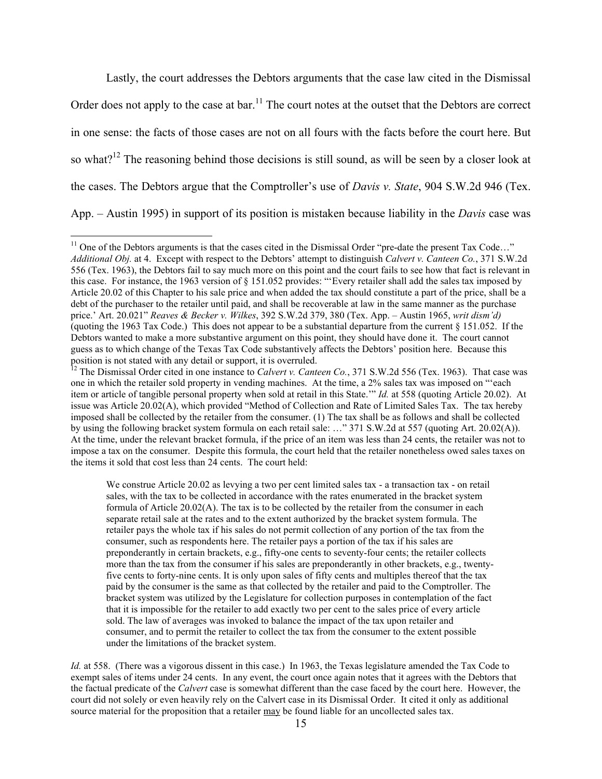Lastly, the court addresses the Debtors arguments that the case law cited in the Dismissal Order does not apply to the case at bar.<sup>11</sup> The court notes at the outset that the Debtors are correct in one sense: the facts of those cases are not on all fours with the facts before the court here. But so what?<sup>12</sup> The reasoning behind those decisions is still sound, as will be seen by a closer look at the cases. The Debtors argue that the Comptroller's use of *Davis v. State*, 904 S.W.2d 946 (Tex. App. – Austin 1995) in support of its position is mistaken because liability in the *Davis* case was

We construe Article 20.02 as levying a two per cent limited sales tax - a transaction tax - on retail sales, with the tax to be collected in accordance with the rates enumerated in the bracket system formula of Article 20.02(A). The tax is to be collected by the retailer from the consumer in each separate retail sale at the rates and to the extent authorized by the bracket system formula. The retailer pays the whole tax if his sales do not permit collection of any portion of the tax from the consumer, such as respondents here. The retailer pays a portion of the tax if his sales are preponderantly in certain brackets, e.g., fifty-one cents to seventy-four cents; the retailer collects more than the tax from the consumer if his sales are preponderantly in other brackets, e.g., twentyfive cents to forty-nine cents. It is only upon sales of fifty cents and multiples thereof that the tax paid by the consumer is the same as that collected by the retailer and paid to the Comptroller. The bracket system was utilized by the Legislature for collection purposes in contemplation of the fact that it is impossible for the retailer to add exactly two per cent to the sales price of every article sold. The law of averages was invoked to balance the impact of the tax upon retailer and consumer, and to permit the retailer to collect the tax from the consumer to the extent possible under the limitations of the bracket system.

*Id.* at 558. (There was a vigorous dissent in this case.) In 1963, the Texas legislature amended the Tax Code to exempt sales of items under 24 cents. In any event, the court once again notes that it agrees with the Debtors that the factual predicate of the *Calvert* case is somewhat different than the case faced by the court here. However, the court did not solely or even heavily rely on the Calvert case in its Dismissal Order. It cited it only as additional source material for the proposition that a retailer may be found liable for an uncollected sales tax.

 $11$  One of the Debtors arguments is that the cases cited in the Dismissal Order "pre-date the present Tax Code..." *Additional Obj.* at 4. Except with respect to the Debtors' attempt to distinguish *Calvert v. Canteen Co.*, 371 S.W.2d 556 (Tex. 1963), the Debtors fail to say much more on this point and the court fails to see how that fact is relevant in this case. For instance, the 1963 version of § 151.052 provides: "'Every retailer shall add the sales tax imposed by Article 20.02 of this Chapter to his sale price and when added the tax should constitute a part of the price, shall be a debt of the purchaser to the retailer until paid, and shall be recoverable at law in the same manner as the purchase price.' Art. 20.021" *Reaves & Becker v. Wilkes*, 392 S.W.2d 379, 380 (Tex. App. – Austin 1965, *writ dism'd)* (quoting the 1963 Tax Code.) This does not appear to be a substantial departure from the current § 151.052. If the Debtors wanted to make a more substantive argument on this point, they should have done it. The court cannot guess as to which change of the Texas Tax Code substantively affects the Debtors' position here. Because this position is not stated with any detail or support, it is overruled.

<sup>&</sup>lt;sup>12</sup> The Dismissal Order cited in one instance to *Calvert v. Canteen Co.*, 371 S.W.2d 556 (Tex. 1963). That case was one in which the retailer sold property in vending machines. At the time, a 2% sales tax was imposed on "'each item or article of tangible personal property when sold at retail in this State.'" *Id.* at 558 (quoting Article 20.02). At issue was Article 20.02(A), which provided "Method of Collection and Rate of Limited Sales Tax. The tax hereby imposed shall be collected by the retailer from the consumer. (1) The tax shall be as follows and shall be collected by using the following bracket system formula on each retail sale: …" 371 S.W.2d at 557 (quoting Art. 20.02(A)). At the time, under the relevant bracket formula, if the price of an item was less than 24 cents, the retailer was not to impose a tax on the consumer. Despite this formula, the court held that the retailer nonetheless owed sales taxes on the items it sold that cost less than 24 cents. The court held: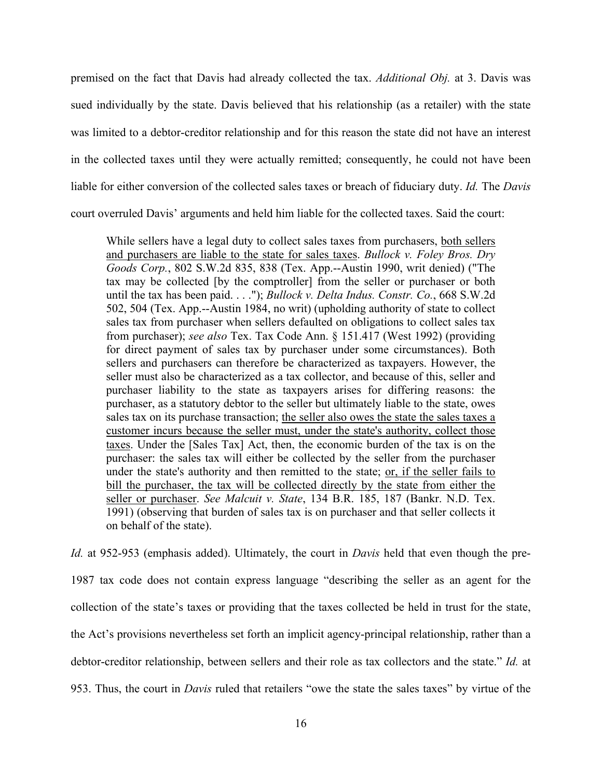premised on the fact that Davis had already collected the tax. *Additional Obj.* at 3. Davis was sued individually by the state. Davis believed that his relationship (as a retailer) with the state was limited to a debtor-creditor relationship and for this reason the state did not have an interest in the collected taxes until they were actually remitted; consequently, he could not have been liable for either conversion of the collected sales taxes or breach of fiduciary duty. *Id.* The *Davis*  court overruled Davis' arguments and held him liable for the collected taxes. Said the court:

While sellers have a legal duty to collect sales taxes from purchasers, both sellers and purchasers are liable to the state for sales taxes. *Bullock v. Foley Bros. Dry Goods Corp.*, 802 S.W.2d 835, 838 (Tex. App.--Austin 1990, writ denied) ("The tax may be collected [by the comptroller] from the seller or purchaser or both until the tax has been paid. . . ."); *Bullock v. Delta Indus. Constr. Co.*, 668 S.W.2d 502, 504 (Tex. App.--Austin 1984, no writ) (upholding authority of state to collect sales tax from purchaser when sellers defaulted on obligations to collect sales tax from purchaser); *see also* Tex. Tax Code Ann. § 151.417 (West 1992) (providing for direct payment of sales tax by purchaser under some circumstances). Both sellers and purchasers can therefore be characterized as taxpayers. However, the seller must also be characterized as a tax collector, and because of this, seller and purchaser liability to the state as taxpayers arises for differing reasons: the purchaser, as a statutory debtor to the seller but ultimately liable to the state, owes sales tax on its purchase transaction; the seller also owes the state the sales taxes a customer incurs because the seller must, under the state's authority, collect those taxes. Under the [Sales Tax] Act, then, the economic burden of the tax is on the purchaser: the sales tax will either be collected by the seller from the purchaser under the state's authority and then remitted to the state; or, if the seller fails to bill the purchaser, the tax will be collected directly by the state from either the seller or purchaser. *See Malcuit v. State*, 134 B.R. 185, 187 (Bankr. N.D. Tex. 1991) (observing that burden of sales tax is on purchaser and that seller collects it on behalf of the state).

*Id.* at 952-953 (emphasis added). Ultimately, the court in *Davis* held that even though the pre-1987 tax code does not contain express language "describing the seller as an agent for the collection of the state's taxes or providing that the taxes collected be held in trust for the state, the Act's provisions nevertheless set forth an implicit agency-principal relationship, rather than a debtor-creditor relationship, between sellers and their role as tax collectors and the state." *Id.* at 953. Thus, the court in *Davis* ruled that retailers "owe the state the sales taxes" by virtue of the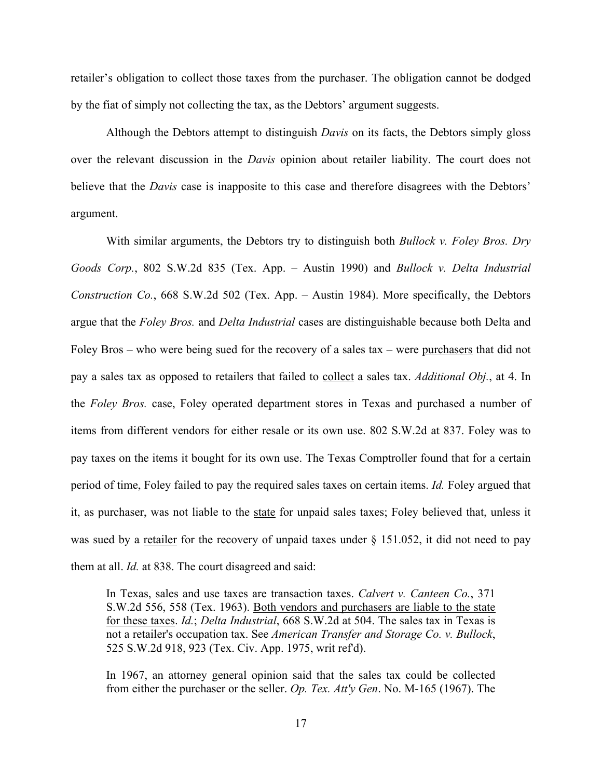retailer's obligation to collect those taxes from the purchaser. The obligation cannot be dodged by the fiat of simply not collecting the tax, as the Debtors' argument suggests.

Although the Debtors attempt to distinguish *Davis* on its facts, the Debtors simply gloss over the relevant discussion in the *Davis* opinion about retailer liability. The court does not believe that the *Davis* case is inapposite to this case and therefore disagrees with the Debtors' argument.

With similar arguments, the Debtors try to distinguish both *Bullock v. Foley Bros. Dry Goods Corp.*, 802 S.W.2d 835 (Tex. App. – Austin 1990) and *Bullock v. Delta Industrial Construction Co.*, 668 S.W.2d 502 (Tex. App. – Austin 1984). More specifically, the Debtors argue that the *Foley Bros.* and *Delta Industrial* cases are distinguishable because both Delta and Foley Bros – who were being sued for the recovery of a sales tax – were purchasers that did not pay a sales tax as opposed to retailers that failed to collect a sales tax. *Additional Obj.*, at 4. In the *Foley Bros.* case, Foley operated department stores in Texas and purchased a number of items from different vendors for either resale or its own use. 802 S.W.2d at 837. Foley was to pay taxes on the items it bought for its own use. The Texas Comptroller found that for a certain period of time, Foley failed to pay the required sales taxes on certain items. *Id.* Foley argued that it, as purchaser, was not liable to the state for unpaid sales taxes; Foley believed that, unless it was sued by a retailer for the recovery of unpaid taxes under § 151.052, it did not need to pay them at all. *Id.* at 838. The court disagreed and said:

In Texas, sales and use taxes are transaction taxes. *Calvert v. Canteen Co.*, 371 S.W.2d 556, 558 (Tex. 1963). Both vendors and purchasers are liable to the state for these taxes. *Id.*; *Delta Industrial*, 668 S.W.2d at 504. The sales tax in Texas is not a retailer's occupation tax. See *American Transfer and Storage Co. v. Bullock*, 525 S.W.2d 918, 923 (Tex. Civ. App. 1975, writ ref'd).

In 1967, an attorney general opinion said that the sales tax could be collected from either the purchaser or the seller. *Op. Tex. Att'y Gen*. No. M-165 (1967). The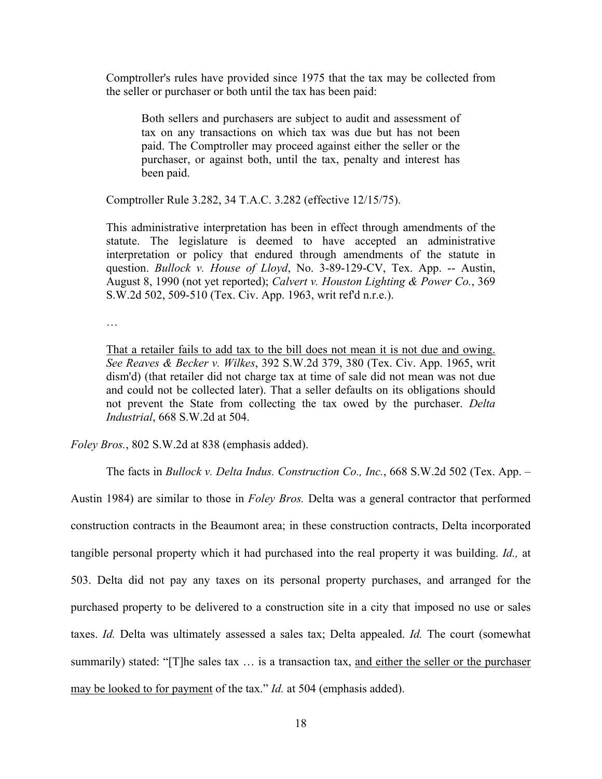Comptroller's rules have provided since 1975 that the tax may be collected from the seller or purchaser or both until the tax has been paid:

Both sellers and purchasers are subject to audit and assessment of tax on any transactions on which tax was due but has not been paid. The Comptroller may proceed against either the seller or the purchaser, or against both, until the tax, penalty and interest has been paid.

Comptroller Rule 3.282, 34 T.A.C. 3.282 (effective 12/15/75).

This administrative interpretation has been in effect through amendments of the statute. The legislature is deemed to have accepted an administrative interpretation or policy that endured through amendments of the statute in question. *Bullock v. House of Lloyd*, No. 3-89-129-CV, Tex. App. -- Austin, August 8, 1990 (not yet reported); *Calvert v. Houston Lighting & Power Co.*, 369 S.W.2d 502, 509-510 (Tex. Civ. App. 1963, writ ref'd n.r.e.).

…

That a retailer fails to add tax to the bill does not mean it is not due and owing. *See Reaves & Becker v. Wilkes*, 392 S.W.2d 379, 380 (Tex. Civ. App. 1965, writ dism'd) (that retailer did not charge tax at time of sale did not mean was not due and could not be collected later). That a seller defaults on its obligations should not prevent the State from collecting the tax owed by the purchaser. *Delta Industrial*, 668 S.W.2d at 504.

*Foley Bros.*, 802 S.W.2d at 838 (emphasis added).

The facts in *Bullock v. Delta Indus. Construction Co., Inc.*, 668 S.W.2d 502 (Tex. App. –

Austin 1984) are similar to those in *Foley Bros.* Delta was a general contractor that performed construction contracts in the Beaumont area; in these construction contracts, Delta incorporated tangible personal property which it had purchased into the real property it was building. *Id.,* at 503. Delta did not pay any taxes on its personal property purchases, and arranged for the purchased property to be delivered to a construction site in a city that imposed no use or sales taxes. *Id.* Delta was ultimately assessed a sales tax; Delta appealed. *Id.* The court (somewhat summarily) stated: "[T]he sales tax ... is a transaction tax, and either the seller or the purchaser may be looked to for payment of the tax." *Id.* at 504 (emphasis added).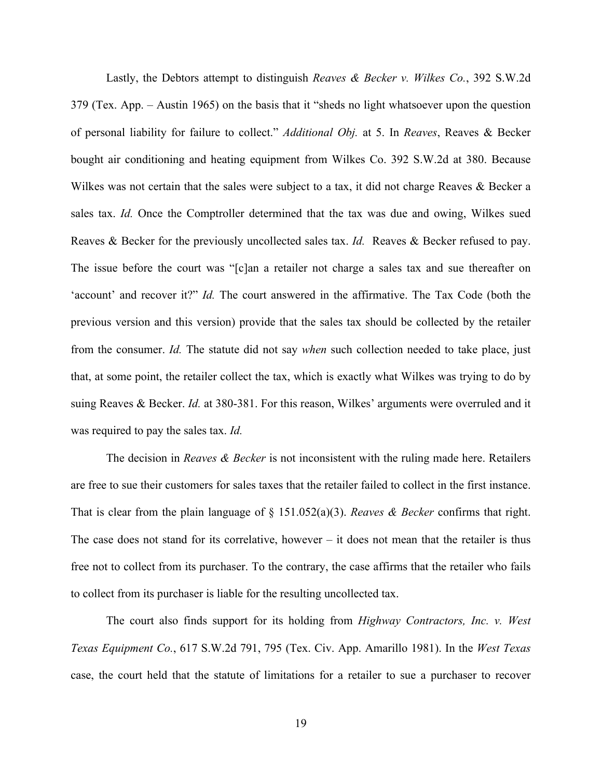Lastly, the Debtors attempt to distinguish *Reaves & Becker v. Wilkes Co.*, 392 S.W.2d 379 (Tex. App. – Austin 1965) on the basis that it "sheds no light whatsoever upon the question of personal liability for failure to collect." *Additional Obj.* at 5. In *Reaves*, Reaves & Becker bought air conditioning and heating equipment from Wilkes Co. 392 S.W.2d at 380. Because Wilkes was not certain that the sales were subject to a tax, it did not charge Reaves & Becker a sales tax. *Id.* Once the Comptroller determined that the tax was due and owing, Wilkes sued Reaves & Becker for the previously uncollected sales tax. *Id.* Reaves & Becker refused to pay. The issue before the court was "[c]an a retailer not charge a sales tax and sue thereafter on 'account' and recover it?" *Id.* The court answered in the affirmative. The Tax Code (both the previous version and this version) provide that the sales tax should be collected by the retailer from the consumer. *Id.* The statute did not say *when* such collection needed to take place, just that, at some point, the retailer collect the tax, which is exactly what Wilkes was trying to do by suing Reaves & Becker. *Id.* at 380-381. For this reason, Wilkes' arguments were overruled and it was required to pay the sales tax. *Id.*

The decision in *Reaves & Becker* is not inconsistent with the ruling made here. Retailers are free to sue their customers for sales taxes that the retailer failed to collect in the first instance. That is clear from the plain language of § 151.052(a)(3). *Reaves & Becker* confirms that right. The case does not stand for its correlative, however  $-$  it does not mean that the retailer is thus free not to collect from its purchaser. To the contrary, the case affirms that the retailer who fails to collect from its purchaser is liable for the resulting uncollected tax.

The court also finds support for its holding from *Highway Contractors, Inc. v. West Texas Equipment Co.*, 617 S.W.2d 791, 795 (Tex. Civ. App. Amarillo 1981). In the *West Texas*  case, the court held that the statute of limitations for a retailer to sue a purchaser to recover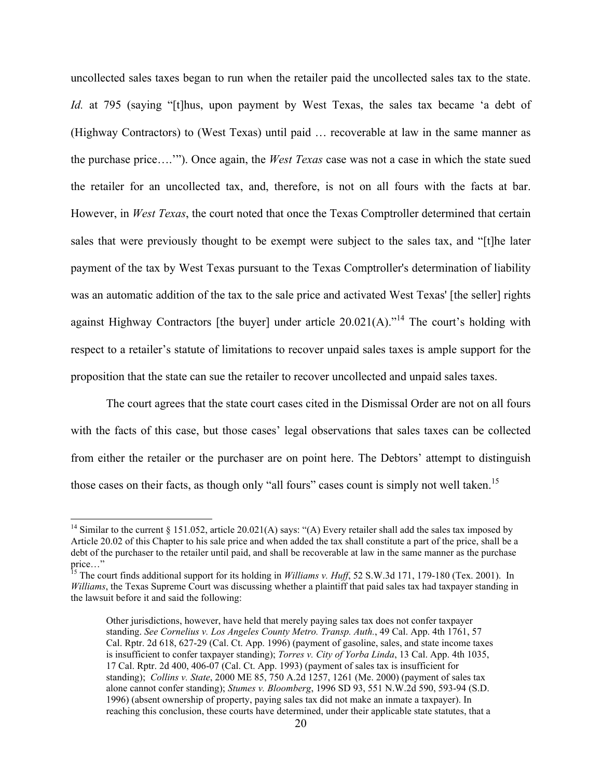uncollected sales taxes began to run when the retailer paid the uncollected sales tax to the state. *Id.* at 795 (saying "[t]hus, upon payment by West Texas, the sales tax became 'a debt of (Highway Contractors) to (West Texas) until paid … recoverable at law in the same manner as the purchase price….'"). Once again, the *West Texas* case was not a case in which the state sued the retailer for an uncollected tax, and, therefore, is not on all fours with the facts at bar. However, in *West Texas*, the court noted that once the Texas Comptroller determined that certain sales that were previously thought to be exempt were subject to the sales tax, and "[t]he later payment of the tax by West Texas pursuant to the Texas Comptroller's determination of liability was an automatic addition of the tax to the sale price and activated West Texas' [the seller] rights against Highway Contractors [the buyer] under article  $20.021(A)$ ."<sup>14</sup> The court's holding with respect to a retailer's statute of limitations to recover unpaid sales taxes is ample support for the proposition that the state can sue the retailer to recover uncollected and unpaid sales taxes.

The court agrees that the state court cases cited in the Dismissal Order are not on all fours with the facts of this case, but those cases' legal observations that sales taxes can be collected from either the retailer or the purchaser are on point here. The Debtors' attempt to distinguish those cases on their facts, as though only "all fours" cases count is simply not well taken.<sup>15</sup>

<sup>&</sup>lt;sup>14</sup> Similar to the current § 151.052, article 20.021(A) says: "(A) Every retailer shall add the sales tax imposed by Article 20.02 of this Chapter to his sale price and when added the tax shall constitute a part of the price, shall be a debt of the purchaser to the retailer until paid, and shall be recoverable at law in the same manner as the purchase price…"

<sup>&</sup>lt;sup>15</sup> The court finds additional support for its holding in *Williams v. Huff*, 52 S.W.3d 171, 179-180 (Tex. 2001). In *Williams*, the Texas Supreme Court was discussing whether a plaintiff that paid sales tax had taxpayer standing in the lawsuit before it and said the following:

Other jurisdictions, however, have held that merely paying sales tax does not confer taxpayer standing. *See Cornelius v. Los Angeles County Metro. Transp. Auth.*, 49 Cal. App. 4th 1761, 57 Cal. Rptr. 2d 618, 627-29 (Cal. Ct. App. 1996) (payment of gasoline, sales, and state income taxes is insufficient to confer taxpayer standing); *Torres v. City of Yorba Linda*, 13 Cal. App. 4th 1035, 17 Cal. Rptr. 2d 400, 406-07 (Cal. Ct. App. 1993) (payment of sales tax is insufficient for standing); *Collins v. State*, 2000 ME 85, 750 A.2d 1257, 1261 (Me. 2000) (payment of sales tax alone cannot confer standing); *Stumes v. Bloomberg*, 1996 SD 93, 551 N.W.2d 590, 593-94 (S.D. 1996) (absent ownership of property, paying sales tax did not make an inmate a taxpayer). In reaching this conclusion, these courts have determined, under their applicable state statutes, that a